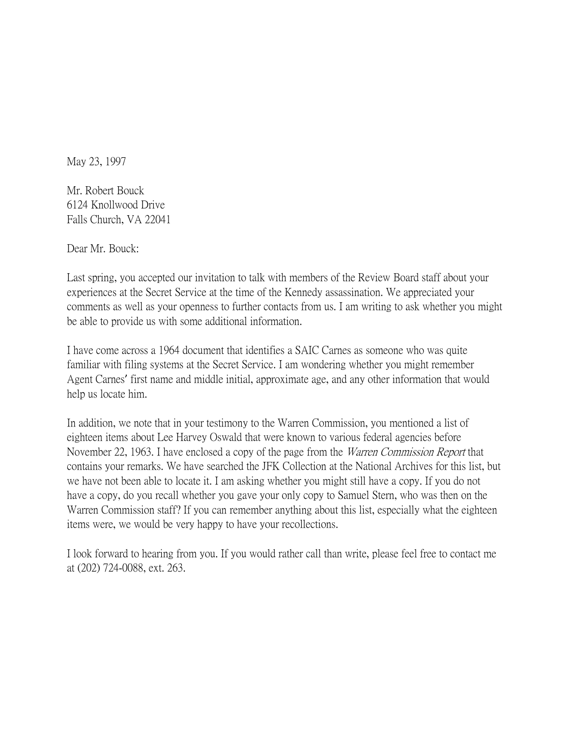May 23, 1997

Mr. Robert Bouck 6124 Knollwood Drive Falls Church, VA 22041

Dear Mr. Bouck:

Last spring, you accepted our invitation to talk with members of the Review Board staff about your experiences at the Secret Service at the time of the Kennedy assassination. We appreciated your comments as well as your openness to further contacts from us. I am writing to ask whether you might be able to provide us with some additional information.

I have come across a 1964 document that identifies a SAIC Carnes as someone who was quite familiar with filing systems at the Secret Service. I am wondering whether you might remember Agent Carnes' first name and middle initial, approximate age, and any other information that would help us locate him.

In addition, we note that in your testimony to the Warren Commission, you mentioned a list of eighteen items about Lee Harvey Oswald that were known to various federal agencies before November 22, 1963. I have enclosed a copy of the page from the *Warren Commission Report* that contains your remarks. We have searched the JFK Collection at the National Archives for this list, but we have not been able to locate it. I am asking whether you might still have a copy. If you do not have a copy, do you recall whether you gave your only copy to Samuel Stern, who was then on the Warren Commission staff? If you can remember anything about this list, especially what the eighteen items were, we would be very happy to have your recollections.

I look forward to hearing from you. If you would rather call than write, please feel free to contact me at (202) 724-0088, ext. 263.